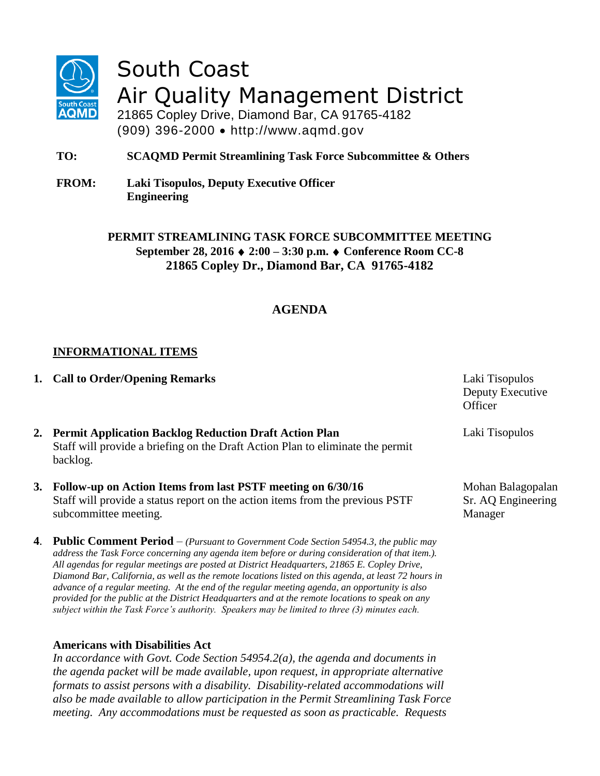

# South Coast Air Quality Management District

21865 Copley Drive, Diamond Bar, CA 91765-4182 (909) 396-2000 http://www.aqmd.gov

**TO: SCAQMD Permit Streamlining Task Force Subcommittee & Others**

**FROM: Laki Tisopulos, Deputy Executive Officer Engineering** 

> **PERMIT STREAMLINING TASK FORCE SUBCOMMITTEE MEETING September 28, 2016 2:00 – 3:30 p.m. Conference Room CC-8 21865 Copley Dr., Diamond Bar, CA 91765-4182**

## **AGENDA**

#### **INFORMATIONAL ITEMS**

**1. Call to Order/Opening Remarks** Laki Tisopulos

| 2. Permit Application Backlog Reduction Draft Action Plan                      |
|--------------------------------------------------------------------------------|
| Staff will provide a briefing on the Draft Action Plan to eliminate the permit |
| backlog.                                                                       |

#### **3. Follow-up on Action Items from last PSTF meeting on 6/30/16** Staff will provide a status report on the action items from the previous PSTF subcommittee meeting.

**4**. **Public Comment Period** – *(Pursuant to Government Code Section 54954.3, the public may address the Task Force concerning any agenda item before or during consideration of that item.). All agendas for regular meetings are posted at District Headquarters, 21865 E. Copley Drive, Diamond Bar, California, as well as the remote locations listed on this agenda, at least 72 hours in advance of a regular meeting. At the end of the regular meeting agenda, an opportunity is also provided for the public at the District Headquarters and at the remote locations to speak on any subject within the Task Force's authority. Speakers may be limited to three (3) minutes each.*

#### **Americans with Disabilities Act**

*In accordance with Govt. Code Section 54954.2(a), the agenda and documents in the agenda packet will be made available, upon request, in appropriate alternative formats to assist persons with a disability. Disability-related accommodations will also be made available to allow participation in the Permit Streamlining Task Force meeting. Any accommodations must be requested as soon as practicable. Requests* 

Deputy Executive **Officer** 

Laki Tisopulos

Mohan Balagopalan Sr. AQ Engineering Manager